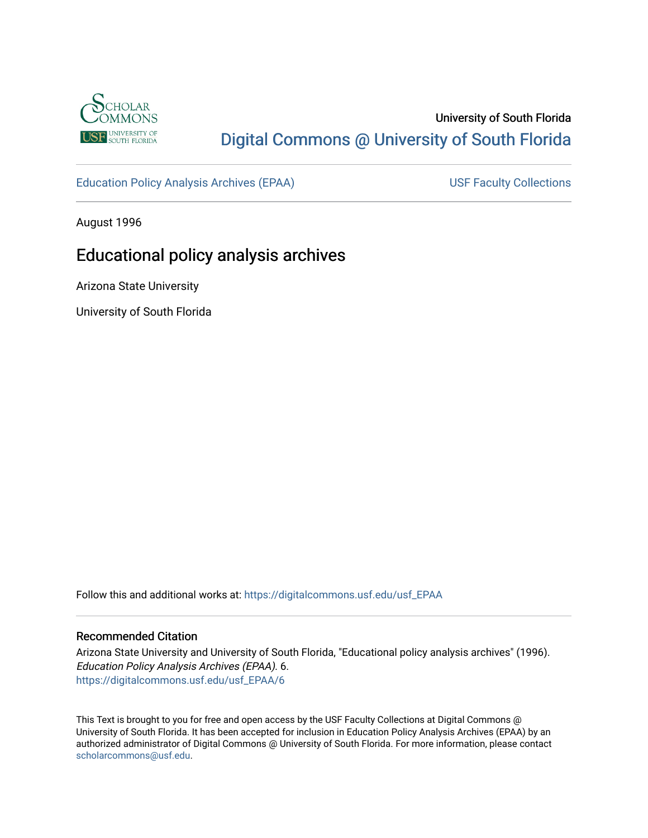

## University of South Florida [Digital Commons @ University of South Florida](https://digitalcommons.usf.edu/)

[Education Policy Analysis Archives \(EPAA\)](https://digitalcommons.usf.edu/usf_EPAA) USF Faculty Collections

August 1996

# Educational policy analysis archives

Arizona State University

University of South Florida

Follow this and additional works at: [https://digitalcommons.usf.edu/usf\\_EPAA](https://digitalcommons.usf.edu/usf_EPAA?utm_source=digitalcommons.usf.edu%2Fusf_EPAA%2F6&utm_medium=PDF&utm_campaign=PDFCoverPages)

#### Recommended Citation

Arizona State University and University of South Florida, "Educational policy analysis archives" (1996). Education Policy Analysis Archives (EPAA). 6. [https://digitalcommons.usf.edu/usf\\_EPAA/6](https://digitalcommons.usf.edu/usf_EPAA/6?utm_source=digitalcommons.usf.edu%2Fusf_EPAA%2F6&utm_medium=PDF&utm_campaign=PDFCoverPages)

This Text is brought to you for free and open access by the USF Faculty Collections at Digital Commons @ University of South Florida. It has been accepted for inclusion in Education Policy Analysis Archives (EPAA) by an authorized administrator of Digital Commons @ University of South Florida. For more information, please contact [scholarcommons@usf.edu.](mailto:scholarcommons@usf.edu)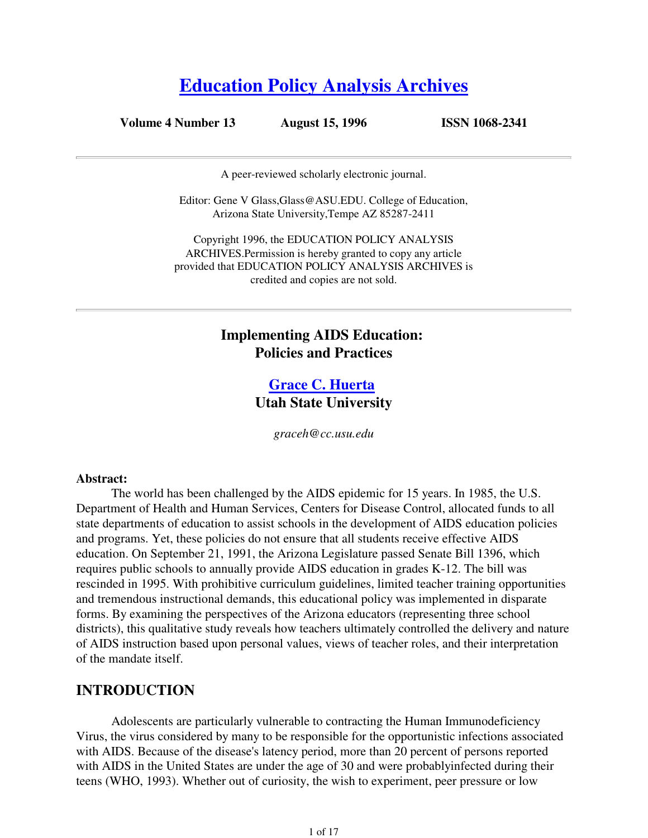# **Education Policy Analysis Archives**

**Volume 4 Number 13 August 15, 1996 ISSN 1068-2341**

A peer-reviewed scholarly electronic journal.

Editor: Gene V Glass,Glass@ASU.EDU. College of Education, Arizona State University,Tempe AZ 85287-2411

Copyright 1996, the EDUCATION POLICY ANALYSIS ARCHIVES.Permission is hereby granted to copy any article provided that EDUCATION POLICY ANALYSIS ARCHIVES is credited and copies are not sold.

### **Implementing AIDS Education: Policies and Practices**

### **Grace C. Huerta Utah State University**

*graceh@cc.usu.edu*

#### **Abstract:**

 The world has been challenged by the AIDS epidemic for 15 years. In 1985, the U.S. Department of Health and Human Services, Centers for Disease Control, allocated funds to all state departments of education to assist schools in the development of AIDS education policies and programs. Yet, these policies do not ensure that all students receive effective AIDS education. On September 21, 1991, the Arizona Legislature passed Senate Bill 1396, which requires public schools to annually provide AIDS education in grades K-12. The bill was rescinded in 1995. With prohibitive curriculum guidelines, limited teacher training opportunities and tremendous instructional demands, this educational policy was implemented in disparate forms. By examining the perspectives of the Arizona educators (representing three school districts), this qualitative study reveals how teachers ultimately controlled the delivery and nature of AIDS instruction based upon personal values, views of teacher roles, and their interpretation of the mandate itself.

#### **INTRODUCTION**

 Adolescents are particularly vulnerable to contracting the Human Immunodeficiency Virus, the virus considered by many to be responsible for the opportunistic infections associated with AIDS. Because of the disease's latency period, more than 20 percent of persons reported with AIDS in the United States are under the age of 30 and were probablyinfected during their teens (WHO, 1993). Whether out of curiosity, the wish to experiment, peer pressure or low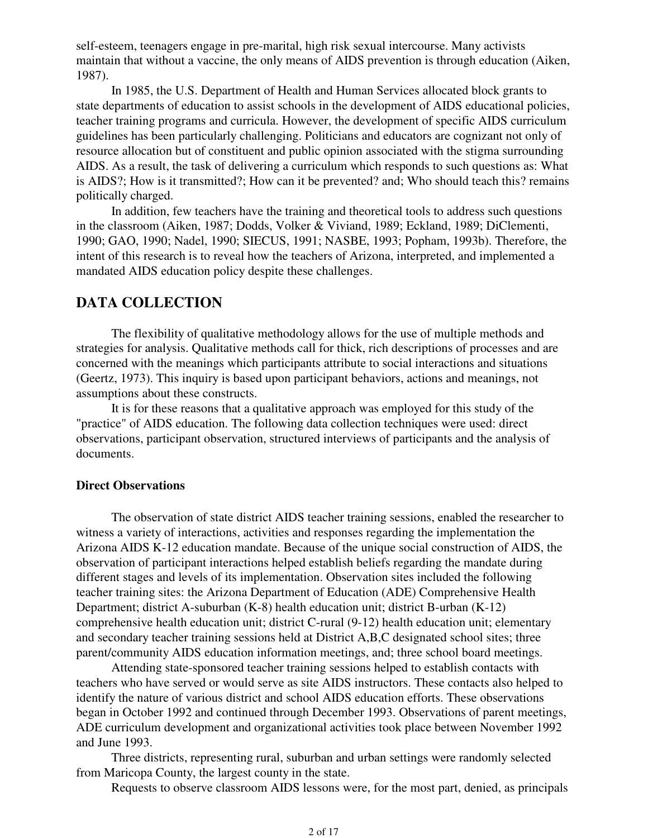self-esteem, teenagers engage in pre-marital, high risk sexual intercourse. Many activists maintain that without a vaccine, the only means of AIDS prevention is through education (Aiken, 1987).

 In 1985, the U.S. Department of Health and Human Services allocated block grants to state departments of education to assist schools in the development of AIDS educational policies, teacher training programs and curricula. However, the development of specific AIDS curriculum guidelines has been particularly challenging. Politicians and educators are cognizant not only of resource allocation but of constituent and public opinion associated with the stigma surrounding AIDS. As a result, the task of delivering a curriculum which responds to such questions as: What is AIDS?; How is it transmitted?; How can it be prevented? and; Who should teach this? remains politically charged.

 In addition, few teachers have the training and theoretical tools to address such questions in the classroom (Aiken, 1987; Dodds, Volker & Viviand, 1989; Eckland, 1989; DiClementi, 1990; GAO, 1990; Nadel, 1990; SIECUS, 1991; NASBE, 1993; Popham, 1993b). Therefore, the intent of this research is to reveal how the teachers of Arizona, interpreted, and implemented a mandated AIDS education policy despite these challenges.

### **DATA COLLECTION**

 The flexibility of qualitative methodology allows for the use of multiple methods and strategies for analysis. Qualitative methods call for thick, rich descriptions of processes and are concerned with the meanings which participants attribute to social interactions and situations (Geertz, 1973). This inquiry is based upon participant behaviors, actions and meanings, not assumptions about these constructs.

 It is for these reasons that a qualitative approach was employed for this study of the "practice" of AIDS education. The following data collection techniques were used: direct observations, participant observation, structured interviews of participants and the analysis of documents.

#### **Direct Observations**

 The observation of state district AIDS teacher training sessions, enabled the researcher to witness a variety of interactions, activities and responses regarding the implementation the Arizona AIDS K-12 education mandate. Because of the unique social construction of AIDS, the observation of participant interactions helped establish beliefs regarding the mandate during different stages and levels of its implementation. Observation sites included the following teacher training sites: the Arizona Department of Education (ADE) Comprehensive Health Department; district A-suburban (K-8) health education unit; district B-urban (K-12) comprehensive health education unit; district C-rural (9-12) health education unit; elementary and secondary teacher training sessions held at District A,B,C designated school sites; three parent/community AIDS education information meetings, and; three school board meetings.

 Attending state-sponsored teacher training sessions helped to establish contacts with teachers who have served or would serve as site AIDS instructors. These contacts also helped to identify the nature of various district and school AIDS education efforts. These observations began in October 1992 and continued through December 1993. Observations of parent meetings, ADE curriculum development and organizational activities took place between November 1992 and June 1993.

 Three districts, representing rural, suburban and urban settings were randomly selected from Maricopa County, the largest county in the state.

Requests to observe classroom AIDS lessons were, for the most part, denied, as principals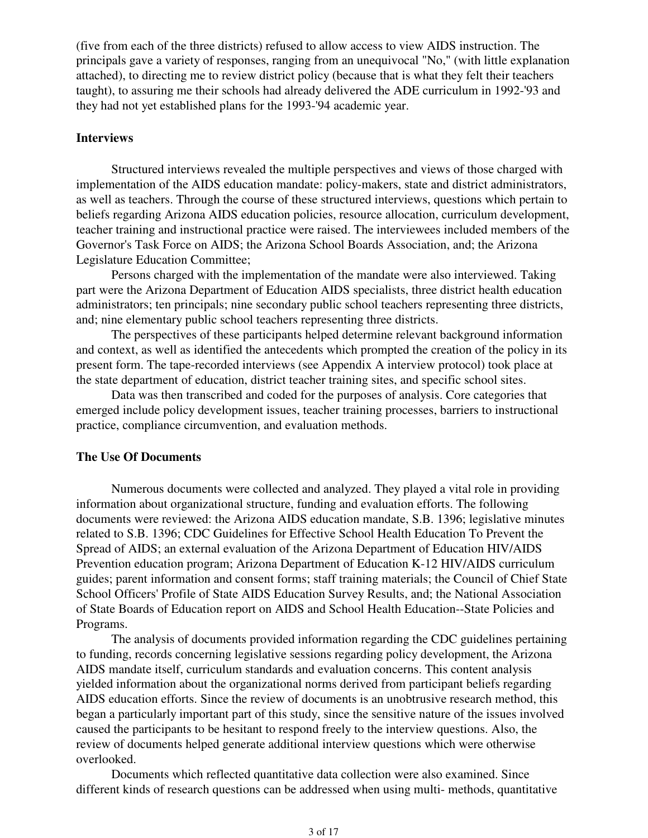(five from each of the three districts) refused to allow access to view AIDS instruction. The principals gave a variety of responses, ranging from an unequivocal "No," (with little explanation attached), to directing me to review district policy (because that is what they felt their teachers taught), to assuring me their schools had already delivered the ADE curriculum in 1992-'93 and they had not yet established plans for the 1993-'94 academic year.

#### **Interviews**

 Structured interviews revealed the multiple perspectives and views of those charged with implementation of the AIDS education mandate: policy-makers, state and district administrators, as well as teachers. Through the course of these structured interviews, questions which pertain to beliefs regarding Arizona AIDS education policies, resource allocation, curriculum development, teacher training and instructional practice were raised. The interviewees included members of the Governor's Task Force on AIDS; the Arizona School Boards Association, and; the Arizona Legislature Education Committee;

 Persons charged with the implementation of the mandate were also interviewed. Taking part were the Arizona Department of Education AIDS specialists, three district health education administrators; ten principals; nine secondary public school teachers representing three districts, and; nine elementary public school teachers representing three districts.

 The perspectives of these participants helped determine relevant background information and context, as well as identified the antecedents which prompted the creation of the policy in its present form. The tape-recorded interviews (see Appendix A interview protocol) took place at the state department of education, district teacher training sites, and specific school sites.

 Data was then transcribed and coded for the purposes of analysis. Core categories that emerged include policy development issues, teacher training processes, barriers to instructional practice, compliance circumvention, and evaluation methods.

#### **The Use Of Documents**

 Numerous documents were collected and analyzed. They played a vital role in providing information about organizational structure, funding and evaluation efforts. The following documents were reviewed: the Arizona AIDS education mandate, S.B. 1396; legislative minutes related to S.B. 1396; CDC Guidelines for Effective School Health Education To Prevent the Spread of AIDS; an external evaluation of the Arizona Department of Education HIV/AIDS Prevention education program; Arizona Department of Education K-12 HIV/AIDS curriculum guides; parent information and consent forms; staff training materials; the Council of Chief State School Officers' Profile of State AIDS Education Survey Results, and; the National Association of State Boards of Education report on AIDS and School Health Education--State Policies and Programs.

 The analysis of documents provided information regarding the CDC guidelines pertaining to funding, records concerning legislative sessions regarding policy development, the Arizona AIDS mandate itself, curriculum standards and evaluation concerns. This content analysis yielded information about the organizational norms derived from participant beliefs regarding AIDS education efforts. Since the review of documents is an unobtrusive research method, this began a particularly important part of this study, since the sensitive nature of the issues involved caused the participants to be hesitant to respond freely to the interview questions. Also, the review of documents helped generate additional interview questions which were otherwise overlooked.

 Documents which reflected quantitative data collection were also examined. Since different kinds of research questions can be addressed when using multi- methods, quantitative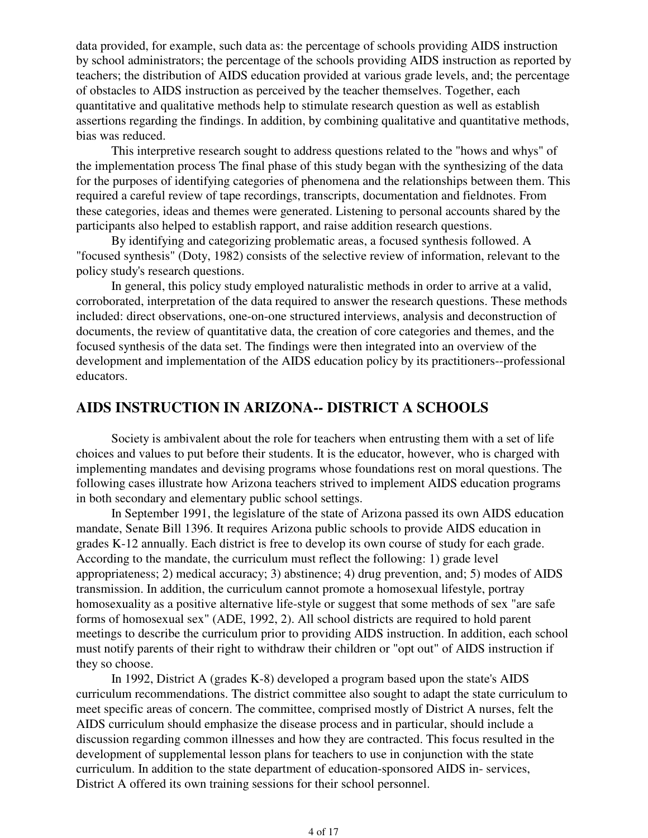data provided, for example, such data as: the percentage of schools providing AIDS instruction by school administrators; the percentage of the schools providing AIDS instruction as reported by teachers; the distribution of AIDS education provided at various grade levels, and; the percentage of obstacles to AIDS instruction as perceived by the teacher themselves. Together, each quantitative and qualitative methods help to stimulate research question as well as establish assertions regarding the findings. In addition, by combining qualitative and quantitative methods, bias was reduced.

 This interpretive research sought to address questions related to the "hows and whys" of the implementation process The final phase of this study began with the synthesizing of the data for the purposes of identifying categories of phenomena and the relationships between them. This required a careful review of tape recordings, transcripts, documentation and fieldnotes. From these categories, ideas and themes were generated. Listening to personal accounts shared by the participants also helped to establish rapport, and raise addition research questions.

 By identifying and categorizing problematic areas, a focused synthesis followed. A "focused synthesis" (Doty, 1982) consists of the selective review of information, relevant to the policy study's research questions.

 In general, this policy study employed naturalistic methods in order to arrive at a valid, corroborated, interpretation of the data required to answer the research questions. These methods included: direct observations, one-on-one structured interviews, analysis and deconstruction of documents, the review of quantitative data, the creation of core categories and themes, and the focused synthesis of the data set. The findings were then integrated into an overview of the development and implementation of the AIDS education policy by its practitioners--professional educators.

### **AIDS INSTRUCTION IN ARIZONA-- DISTRICT A SCHOOLS**

 Society is ambivalent about the role for teachers when entrusting them with a set of life choices and values to put before their students. It is the educator, however, who is charged with implementing mandates and devising programs whose foundations rest on moral questions. The following cases illustrate how Arizona teachers strived to implement AIDS education programs in both secondary and elementary public school settings.

 In September 1991, the legislature of the state of Arizona passed its own AIDS education mandate, Senate Bill 1396. It requires Arizona public schools to provide AIDS education in grades K-12 annually. Each district is free to develop its own course of study for each grade. According to the mandate, the curriculum must reflect the following: 1) grade level appropriateness; 2) medical accuracy; 3) abstinence; 4) drug prevention, and; 5) modes of AIDS transmission. In addition, the curriculum cannot promote a homosexual lifestyle, portray homosexuality as a positive alternative life-style or suggest that some methods of sex "are safe forms of homosexual sex" (ADE, 1992, 2). All school districts are required to hold parent meetings to describe the curriculum prior to providing AIDS instruction. In addition, each school must notify parents of their right to withdraw their children or "opt out" of AIDS instruction if they so choose.

 In 1992, District A (grades K-8) developed a program based upon the state's AIDS curriculum recommendations. The district committee also sought to adapt the state curriculum to meet specific areas of concern. The committee, comprised mostly of District A nurses, felt the AIDS curriculum should emphasize the disease process and in particular, should include a discussion regarding common illnesses and how they are contracted. This focus resulted in the development of supplemental lesson plans for teachers to use in conjunction with the state curriculum. In addition to the state department of education-sponsored AIDS in- services, District A offered its own training sessions for their school personnel.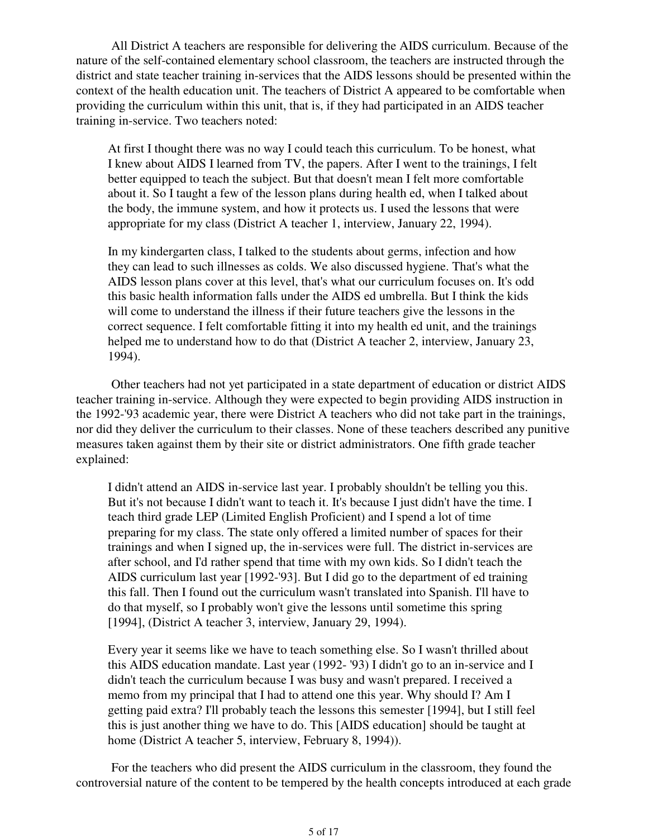All District A teachers are responsible for delivering the AIDS curriculum. Because of the nature of the self-contained elementary school classroom, the teachers are instructed through the district and state teacher training in-services that the AIDS lessons should be presented within the context of the health education unit. The teachers of District A appeared to be comfortable when providing the curriculum within this unit, that is, if they had participated in an AIDS teacher training in-service. Two teachers noted:

At first I thought there was no way I could teach this curriculum. To be honest, what I knew about AIDS I learned from TV, the papers. After I went to the trainings, I felt better equipped to teach the subject. But that doesn't mean I felt more comfortable about it. So I taught a few of the lesson plans during health ed, when I talked about the body, the immune system, and how it protects us. I used the lessons that were appropriate for my class (District A teacher 1, interview, January 22, 1994).

In my kindergarten class, I talked to the students about germs, infection and how they can lead to such illnesses as colds. We also discussed hygiene. That's what the AIDS lesson plans cover at this level, that's what our curriculum focuses on. It's odd this basic health information falls under the AIDS ed umbrella. But I think the kids will come to understand the illness if their future teachers give the lessons in the correct sequence. I felt comfortable fitting it into my health ed unit, and the trainings helped me to understand how to do that (District A teacher 2, interview, January 23, 1994).

 Other teachers had not yet participated in a state department of education or district AIDS teacher training in-service. Although they were expected to begin providing AIDS instruction in the 1992-'93 academic year, there were District A teachers who did not take part in the trainings, nor did they deliver the curriculum to their classes. None of these teachers described any punitive measures taken against them by their site or district administrators. One fifth grade teacher explained:

I didn't attend an AIDS in-service last year. I probably shouldn't be telling you this. But it's not because I didn't want to teach it. It's because I just didn't have the time. I teach third grade LEP (Limited English Proficient) and I spend a lot of time preparing for my class. The state only offered a limited number of spaces for their trainings and when I signed up, the in-services were full. The district in-services are after school, and I'd rather spend that time with my own kids. So I didn't teach the AIDS curriculum last year [1992-'93]. But I did go to the department of ed training this fall. Then I found out the curriculum wasn't translated into Spanish. I'll have to do that myself, so I probably won't give the lessons until sometime this spring [1994], (District A teacher 3, interview, January 29, 1994).

Every year it seems like we have to teach something else. So I wasn't thrilled about this AIDS education mandate. Last year (1992- '93) I didn't go to an in-service and I didn't teach the curriculum because I was busy and wasn't prepared. I received a memo from my principal that I had to attend one this year. Why should I? Am I getting paid extra? I'll probably teach the lessons this semester [1994], but I still feel this is just another thing we have to do. This [AIDS education] should be taught at home (District A teacher 5, interview, February 8, 1994)).

 For the teachers who did present the AIDS curriculum in the classroom, they found the controversial nature of the content to be tempered by the health concepts introduced at each grade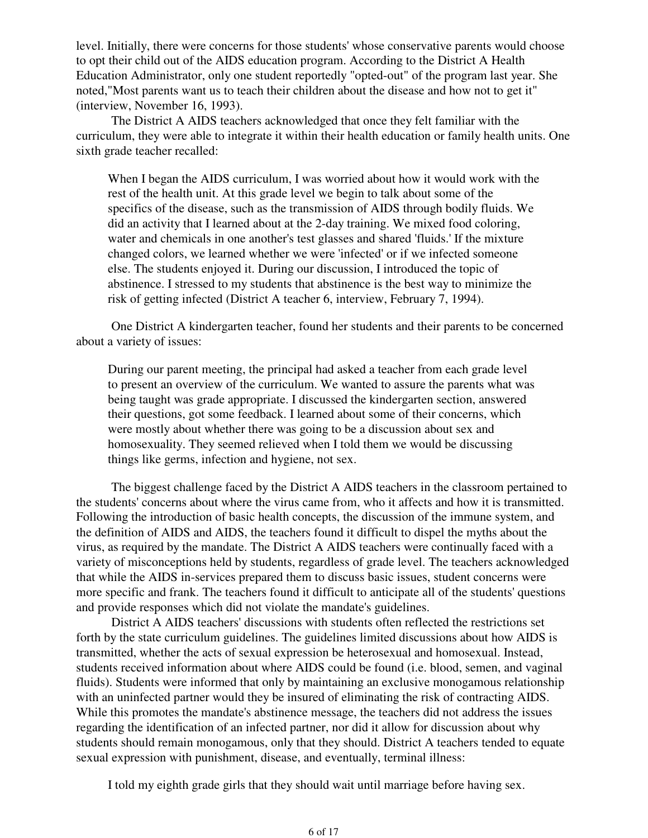level. Initially, there were concerns for those students' whose conservative parents would choose to opt their child out of the AIDS education program. According to the District A Health Education Administrator, only one student reportedly "opted-out" of the program last year. She noted,"Most parents want us to teach their children about the disease and how not to get it" (interview, November 16, 1993).

 The District A AIDS teachers acknowledged that once they felt familiar with the curriculum, they were able to integrate it within their health education or family health units. One sixth grade teacher recalled:

When I began the AIDS curriculum, I was worried about how it would work with the rest of the health unit. At this grade level we begin to talk about some of the specifics of the disease, such as the transmission of AIDS through bodily fluids. We did an activity that I learned about at the 2-day training. We mixed food coloring, water and chemicals in one another's test glasses and shared 'fluids.' If the mixture changed colors, we learned whether we were 'infected' or if we infected someone else. The students enjoyed it. During our discussion, I introduced the topic of abstinence. I stressed to my students that abstinence is the best way to minimize the risk of getting infected (District A teacher 6, interview, February 7, 1994).

 One District A kindergarten teacher, found her students and their parents to be concerned about a variety of issues:

During our parent meeting, the principal had asked a teacher from each grade level to present an overview of the curriculum. We wanted to assure the parents what was being taught was grade appropriate. I discussed the kindergarten section, answered their questions, got some feedback. I learned about some of their concerns, which were mostly about whether there was going to be a discussion about sex and homosexuality. They seemed relieved when I told them we would be discussing things like germs, infection and hygiene, not sex.

 The biggest challenge faced by the District A AIDS teachers in the classroom pertained to the students' concerns about where the virus came from, who it affects and how it is transmitted. Following the introduction of basic health concepts, the discussion of the immune system, and the definition of AIDS and AIDS, the teachers found it difficult to dispel the myths about the virus, as required by the mandate. The District A AIDS teachers were continually faced with a variety of misconceptions held by students, regardless of grade level. The teachers acknowledged that while the AIDS in-services prepared them to discuss basic issues, student concerns were more specific and frank. The teachers found it difficult to anticipate all of the students' questions and provide responses which did not violate the mandate's guidelines.

 District A AIDS teachers' discussions with students often reflected the restrictions set forth by the state curriculum guidelines. The guidelines limited discussions about how AIDS is transmitted, whether the acts of sexual expression be heterosexual and homosexual. Instead, students received information about where AIDS could be found (i.e. blood, semen, and vaginal fluids). Students were informed that only by maintaining an exclusive monogamous relationship with an uninfected partner would they be insured of eliminating the risk of contracting AIDS. While this promotes the mandate's abstinence message, the teachers did not address the issues regarding the identification of an infected partner, nor did it allow for discussion about why students should remain monogamous, only that they should. District A teachers tended to equate sexual expression with punishment, disease, and eventually, terminal illness:

I told my eighth grade girls that they should wait until marriage before having sex.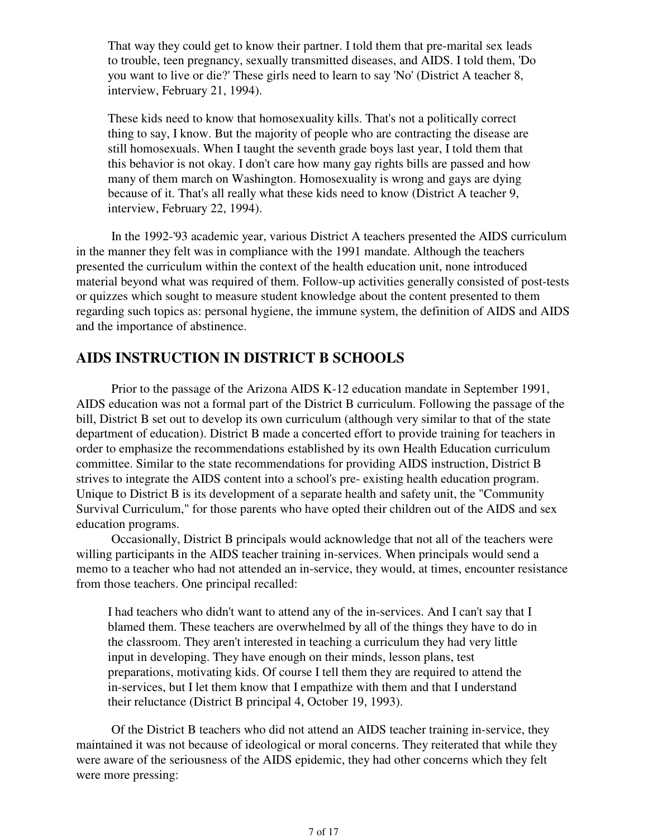That way they could get to know their partner. I told them that pre-marital sex leads to trouble, teen pregnancy, sexually transmitted diseases, and AIDS. I told them, 'Do you want to live or die?' These girls need to learn to say 'No' (District A teacher 8, interview, February 21, 1994).

These kids need to know that homosexuality kills. That's not a politically correct thing to say, I know. But the majority of people who are contracting the disease are still homosexuals. When I taught the seventh grade boys last year, I told them that this behavior is not okay. I don't care how many gay rights bills are passed and how many of them march on Washington. Homosexuality is wrong and gays are dying because of it. That's all really what these kids need to know (District A teacher 9, interview, February 22, 1994).

 In the 1992-'93 academic year, various District A teachers presented the AIDS curriculum in the manner they felt was in compliance with the 1991 mandate. Although the teachers presented the curriculum within the context of the health education unit, none introduced material beyond what was required of them. Follow-up activities generally consisted of post-tests or quizzes which sought to measure student knowledge about the content presented to them regarding such topics as: personal hygiene, the immune system, the definition of AIDS and AIDS and the importance of abstinence.

### **AIDS INSTRUCTION IN DISTRICT B SCHOOLS**

 Prior to the passage of the Arizona AIDS K-12 education mandate in September 1991, AIDS education was not a formal part of the District B curriculum. Following the passage of the bill, District B set out to develop its own curriculum (although very similar to that of the state department of education). District B made a concerted effort to provide training for teachers in order to emphasize the recommendations established by its own Health Education curriculum committee. Similar to the state recommendations for providing AIDS instruction, District B strives to integrate the AIDS content into a school's pre- existing health education program. Unique to District B is its development of a separate health and safety unit, the "Community Survival Curriculum," for those parents who have opted their children out of the AIDS and sex education programs.

 Occasionally, District B principals would acknowledge that not all of the teachers were willing participants in the AIDS teacher training in-services. When principals would send a memo to a teacher who had not attended an in-service, they would, at times, encounter resistance from those teachers. One principal recalled:

I had teachers who didn't want to attend any of the in-services. And I can't say that I blamed them. These teachers are overwhelmed by all of the things they have to do in the classroom. They aren't interested in teaching a curriculum they had very little input in developing. They have enough on their minds, lesson plans, test preparations, motivating kids. Of course I tell them they are required to attend the in-services, but I let them know that I empathize with them and that I understand their reluctance (District B principal 4, October 19, 1993).

 Of the District B teachers who did not attend an AIDS teacher training in-service, they maintained it was not because of ideological or moral concerns. They reiterated that while they were aware of the seriousness of the AIDS epidemic, they had other concerns which they felt were more pressing: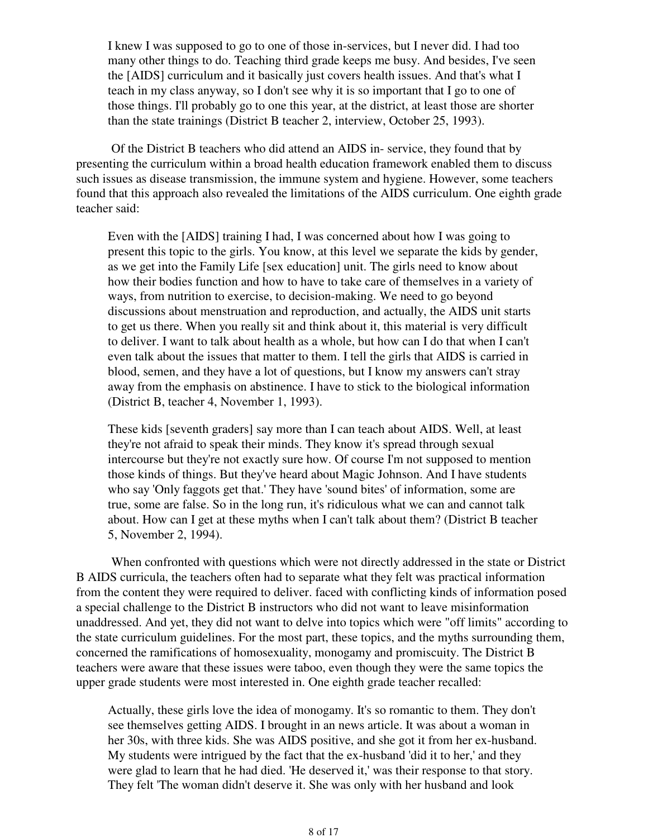I knew I was supposed to go to one of those in-services, but I never did. I had too many other things to do. Teaching third grade keeps me busy. And besides, I've seen the [AIDS] curriculum and it basically just covers health issues. And that's what I teach in my class anyway, so I don't see why it is so important that I go to one of those things. I'll probably go to one this year, at the district, at least those are shorter than the state trainings (District B teacher 2, interview, October 25, 1993).

 Of the District B teachers who did attend an AIDS in- service, they found that by presenting the curriculum within a broad health education framework enabled them to discuss such issues as disease transmission, the immune system and hygiene. However, some teachers found that this approach also revealed the limitations of the AIDS curriculum. One eighth grade teacher said:

Even with the [AIDS] training I had, I was concerned about how I was going to present this topic to the girls. You know, at this level we separate the kids by gender, as we get into the Family Life [sex education] unit. The girls need to know about how their bodies function and how to have to take care of themselves in a variety of ways, from nutrition to exercise, to decision-making. We need to go beyond discussions about menstruation and reproduction, and actually, the AIDS unit starts to get us there. When you really sit and think about it, this material is very difficult to deliver. I want to talk about health as a whole, but how can I do that when I can't even talk about the issues that matter to them. I tell the girls that AIDS is carried in blood, semen, and they have a lot of questions, but I know my answers can't stray away from the emphasis on abstinence. I have to stick to the biological information (District B, teacher 4, November 1, 1993).

These kids [seventh graders] say more than I can teach about AIDS. Well, at least they're not afraid to speak their minds. They know it's spread through sexual intercourse but they're not exactly sure how. Of course I'm not supposed to mention those kinds of things. But they've heard about Magic Johnson. And I have students who say 'Only faggots get that.' They have 'sound bites' of information, some are true, some are false. So in the long run, it's ridiculous what we can and cannot talk about. How can I get at these myths when I can't talk about them? (District B teacher 5, November 2, 1994).

 When confronted with questions which were not directly addressed in the state or District B AIDS curricula, the teachers often had to separate what they felt was practical information from the content they were required to deliver. faced with conflicting kinds of information posed a special challenge to the District B instructors who did not want to leave misinformation unaddressed. And yet, they did not want to delve into topics which were "off limits" according to the state curriculum guidelines. For the most part, these topics, and the myths surrounding them, concerned the ramifications of homosexuality, monogamy and promiscuity. The District B teachers were aware that these issues were taboo, even though they were the same topics the upper grade students were most interested in. One eighth grade teacher recalled:

Actually, these girls love the idea of monogamy. It's so romantic to them. They don't see themselves getting AIDS. I brought in an news article. It was about a woman in her 30s, with three kids. She was AIDS positive, and she got it from her ex-husband. My students were intrigued by the fact that the ex-husband 'did it to her,' and they were glad to learn that he had died. 'He deserved it,' was their response to that story. They felt 'The woman didn't deserve it. She was only with her husband and look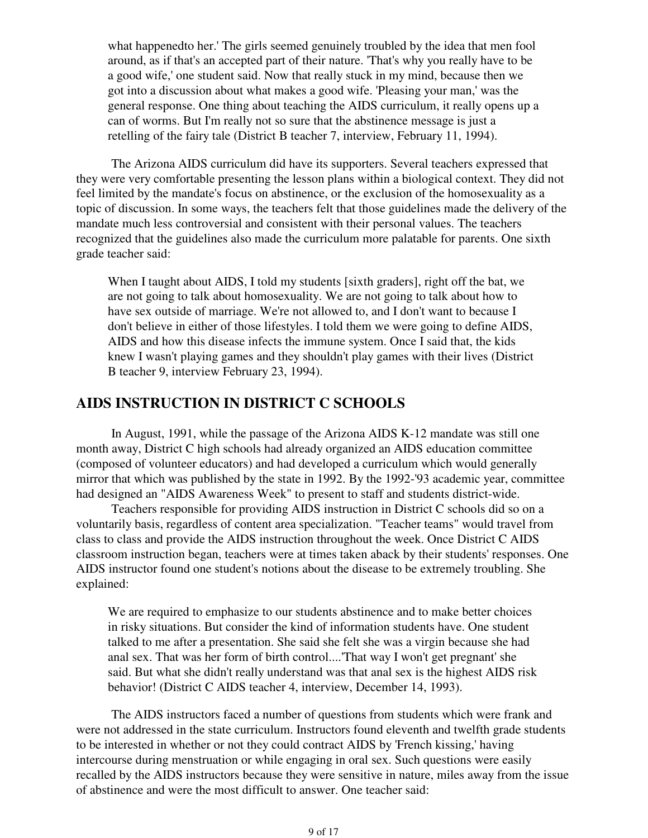what happenedto her.' The girls seemed genuinely troubled by the idea that men fool around, as if that's an accepted part of their nature. 'That's why you really have to be a good wife,' one student said. Now that really stuck in my mind, because then we got into a discussion about what makes a good wife. 'Pleasing your man,' was the general response. One thing about teaching the AIDS curriculum, it really opens up a can of worms. But I'm really not so sure that the abstinence message is just a retelling of the fairy tale (District B teacher 7, interview, February 11, 1994).

 The Arizona AIDS curriculum did have its supporters. Several teachers expressed that they were very comfortable presenting the lesson plans within a biological context. They did not feel limited by the mandate's focus on abstinence, or the exclusion of the homosexuality as a topic of discussion. In some ways, the teachers felt that those guidelines made the delivery of the mandate much less controversial and consistent with their personal values. The teachers recognized that the guidelines also made the curriculum more palatable for parents. One sixth grade teacher said:

When I taught about AIDS, I told my students [sixth graders], right off the bat, we are not going to talk about homosexuality. We are not going to talk about how to have sex outside of marriage. We're not allowed to, and I don't want to because I don't believe in either of those lifestyles. I told them we were going to define AIDS, AIDS and how this disease infects the immune system. Once I said that, the kids knew I wasn't playing games and they shouldn't play games with their lives (District B teacher 9, interview February 23, 1994).

### **AIDS INSTRUCTION IN DISTRICT C SCHOOLS**

 In August, 1991, while the passage of the Arizona AIDS K-12 mandate was still one month away, District C high schools had already organized an AIDS education committee (composed of volunteer educators) and had developed a curriculum which would generally mirror that which was published by the state in 1992. By the 1992-'93 academic year, committee had designed an "AIDS Awareness Week" to present to staff and students district-wide.

 Teachers responsible for providing AIDS instruction in District C schools did so on a voluntarily basis, regardless of content area specialization. "Teacher teams" would travel from class to class and provide the AIDS instruction throughout the week. Once District C AIDS classroom instruction began, teachers were at times taken aback by their students' responses. One AIDS instructor found one student's notions about the disease to be extremely troubling. She explained:

We are required to emphasize to our students abstinence and to make better choices in risky situations. But consider the kind of information students have. One student talked to me after a presentation. She said she felt she was a virgin because she had anal sex. That was her form of birth control....'That way I won't get pregnant' she said. But what she didn't really understand was that anal sex is the highest AIDS risk behavior! (District C AIDS teacher 4, interview, December 14, 1993).

 The AIDS instructors faced a number of questions from students which were frank and were not addressed in the state curriculum. Instructors found eleventh and twelfth grade students to be interested in whether or not they could contract AIDS by 'French kissing,' having intercourse during menstruation or while engaging in oral sex. Such questions were easily recalled by the AIDS instructors because they were sensitive in nature, miles away from the issue of abstinence and were the most difficult to answer. One teacher said: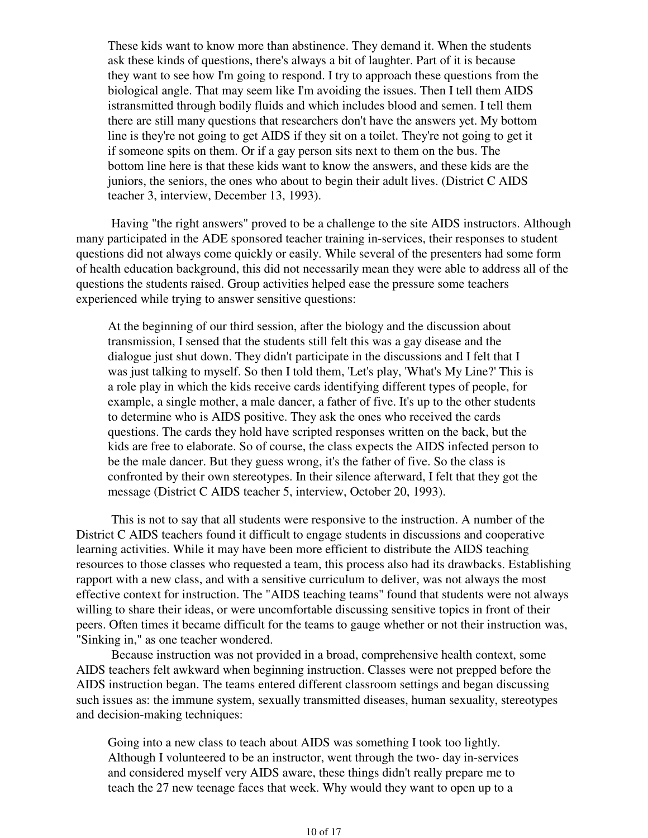These kids want to know more than abstinence. They demand it. When the students ask these kinds of questions, there's always a bit of laughter. Part of it is because they want to see how I'm going to respond. I try to approach these questions from the biological angle. That may seem like I'm avoiding the issues. Then I tell them AIDS istransmitted through bodily fluids and which includes blood and semen. I tell them there are still many questions that researchers don't have the answers yet. My bottom line is they're not going to get AIDS if they sit on a toilet. They're not going to get it if someone spits on them. Or if a gay person sits next to them on the bus. The bottom line here is that these kids want to know the answers, and these kids are the juniors, the seniors, the ones who about to begin their adult lives. (District C AIDS teacher 3, interview, December 13, 1993).

 Having "the right answers" proved to be a challenge to the site AIDS instructors. Although many participated in the ADE sponsored teacher training in-services, their responses to student questions did not always come quickly or easily. While several of the presenters had some form of health education background, this did not necessarily mean they were able to address all of the questions the students raised. Group activities helped ease the pressure some teachers experienced while trying to answer sensitive questions:

At the beginning of our third session, after the biology and the discussion about transmission, I sensed that the students still felt this was a gay disease and the dialogue just shut down. They didn't participate in the discussions and I felt that I was just talking to myself. So then I told them, 'Let's play, 'What's My Line?' This is a role play in which the kids receive cards identifying different types of people, for example, a single mother, a male dancer, a father of five. It's up to the other students to determine who is AIDS positive. They ask the ones who received the cards questions. The cards they hold have scripted responses written on the back, but the kids are free to elaborate. So of course, the class expects the AIDS infected person to be the male dancer. But they guess wrong, it's the father of five. So the class is confronted by their own stereotypes. In their silence afterward, I felt that they got the message (District C AIDS teacher 5, interview, October 20, 1993).

 This is not to say that all students were responsive to the instruction. A number of the District C AIDS teachers found it difficult to engage students in discussions and cooperative learning activities. While it may have been more efficient to distribute the AIDS teaching resources to those classes who requested a team, this process also had its drawbacks. Establishing rapport with a new class, and with a sensitive curriculum to deliver, was not always the most effective context for instruction. The "AIDS teaching teams" found that students were not always willing to share their ideas, or were uncomfortable discussing sensitive topics in front of their peers. Often times it became difficult for the teams to gauge whether or not their instruction was, "Sinking in," as one teacher wondered.

 Because instruction was not provided in a broad, comprehensive health context, some AIDS teachers felt awkward when beginning instruction. Classes were not prepped before the AIDS instruction began. The teams entered different classroom settings and began discussing such issues as: the immune system, sexually transmitted diseases, human sexuality, stereotypes and decision-making techniques:

Going into a new class to teach about AIDS was something I took too lightly. Although I volunteered to be an instructor, went through the two- day in-services and considered myself very AIDS aware, these things didn't really prepare me to teach the 27 new teenage faces that week. Why would they want to open up to a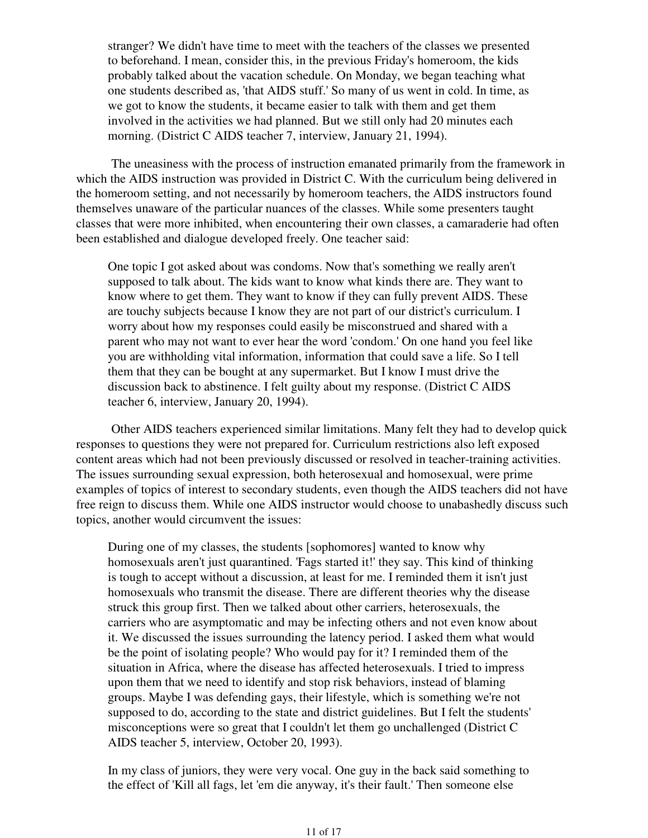stranger? We didn't have time to meet with the teachers of the classes we presented to beforehand. I mean, consider this, in the previous Friday's homeroom, the kids probably talked about the vacation schedule. On Monday, we began teaching what one students described as, 'that AIDS stuff.' So many of us went in cold. In time, as we got to know the students, it became easier to talk with them and get them involved in the activities we had planned. But we still only had 20 minutes each morning. (District C AIDS teacher 7, interview, January 21, 1994).

 The uneasiness with the process of instruction emanated primarily from the framework in which the AIDS instruction was provided in District C. With the curriculum being delivered in the homeroom setting, and not necessarily by homeroom teachers, the AIDS instructors found themselves unaware of the particular nuances of the classes. While some presenters taught classes that were more inhibited, when encountering their own classes, a camaraderie had often been established and dialogue developed freely. One teacher said:

One topic I got asked about was condoms. Now that's something we really aren't supposed to talk about. The kids want to know what kinds there are. They want to know where to get them. They want to know if they can fully prevent AIDS. These are touchy subjects because I know they are not part of our district's curriculum. I worry about how my responses could easily be misconstrued and shared with a parent who may not want to ever hear the word 'condom.' On one hand you feel like you are withholding vital information, information that could save a life. So I tell them that they can be bought at any supermarket. But I know I must drive the discussion back to abstinence. I felt guilty about my response. (District C AIDS teacher 6, interview, January 20, 1994).

 Other AIDS teachers experienced similar limitations. Many felt they had to develop quick responses to questions they were not prepared for. Curriculum restrictions also left exposed content areas which had not been previously discussed or resolved in teacher-training activities. The issues surrounding sexual expression, both heterosexual and homosexual, were prime examples of topics of interest to secondary students, even though the AIDS teachers did not have free reign to discuss them. While one AIDS instructor would choose to unabashedly discuss such topics, another would circumvent the issues:

During one of my classes, the students [sophomores] wanted to know why homosexuals aren't just quarantined. 'Fags started it!' they say. This kind of thinking is tough to accept without a discussion, at least for me. I reminded them it isn't just homosexuals who transmit the disease. There are different theories why the disease struck this group first. Then we talked about other carriers, heterosexuals, the carriers who are asymptomatic and may be infecting others and not even know about it. We discussed the issues surrounding the latency period. I asked them what would be the point of isolating people? Who would pay for it? I reminded them of the situation in Africa, where the disease has affected heterosexuals. I tried to impress upon them that we need to identify and stop risk behaviors, instead of blaming groups. Maybe I was defending gays, their lifestyle, which is something we're not supposed to do, according to the state and district guidelines. But I felt the students' misconceptions were so great that I couldn't let them go unchallenged (District C AIDS teacher 5, interview, October 20, 1993).

In my class of juniors, they were very vocal. One guy in the back said something to the effect of 'Kill all fags, let 'em die anyway, it's their fault.' Then someone else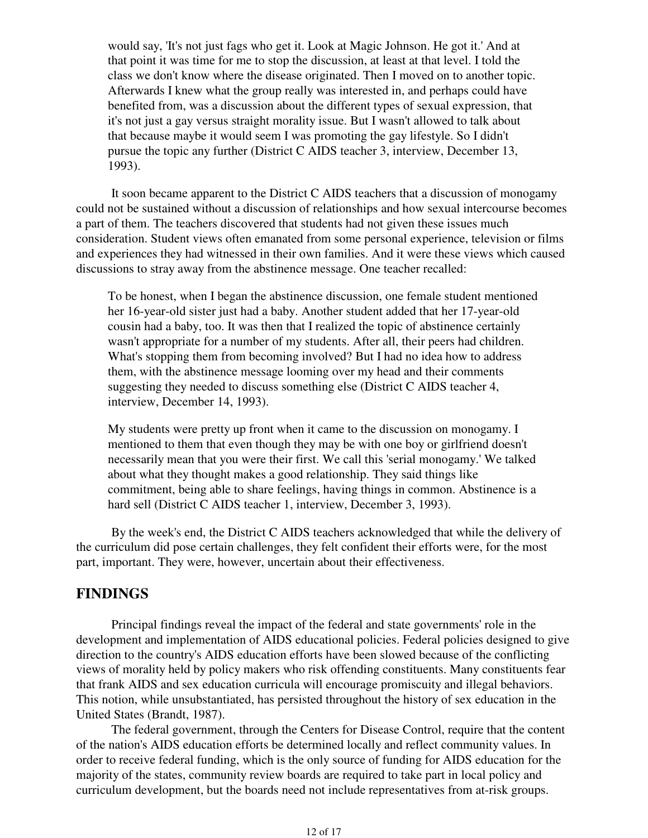would say, 'It's not just fags who get it. Look at Magic Johnson. He got it.' And at that point it was time for me to stop the discussion, at least at that level. I told the class we don't know where the disease originated. Then I moved on to another topic. Afterwards I knew what the group really was interested in, and perhaps could have benefited from, was a discussion about the different types of sexual expression, that it's not just a gay versus straight morality issue. But I wasn't allowed to talk about that because maybe it would seem I was promoting the gay lifestyle. So I didn't pursue the topic any further (District C AIDS teacher 3, interview, December 13, 1993).

 It soon became apparent to the District C AIDS teachers that a discussion of monogamy could not be sustained without a discussion of relationships and how sexual intercourse becomes a part of them. The teachers discovered that students had not given these issues much consideration. Student views often emanated from some personal experience, television or films and experiences they had witnessed in their own families. And it were these views which caused discussions to stray away from the abstinence message. One teacher recalled:

To be honest, when I began the abstinence discussion, one female student mentioned her 16-year-old sister just had a baby. Another student added that her 17-year-old cousin had a baby, too. It was then that I realized the topic of abstinence certainly wasn't appropriate for a number of my students. After all, their peers had children. What's stopping them from becoming involved? But I had no idea how to address them, with the abstinence message looming over my head and their comments suggesting they needed to discuss something else (District C AIDS teacher 4, interview, December 14, 1993).

My students were pretty up front when it came to the discussion on monogamy. I mentioned to them that even though they may be with one boy or girlfriend doesn't necessarily mean that you were their first. We call this 'serial monogamy.' We talked about what they thought makes a good relationship. They said things like commitment, being able to share feelings, having things in common. Abstinence is a hard sell (District C AIDS teacher 1, interview, December 3, 1993).

 By the week's end, the District C AIDS teachers acknowledged that while the delivery of the curriculum did pose certain challenges, they felt confident their efforts were, for the most part, important. They were, however, uncertain about their effectiveness.

### **FINDINGS**

 Principal findings reveal the impact of the federal and state governments' role in the development and implementation of AIDS educational policies. Federal policies designed to give direction to the country's AIDS education efforts have been slowed because of the conflicting views of morality held by policy makers who risk offending constituents. Many constituents fear that frank AIDS and sex education curricula will encourage promiscuity and illegal behaviors. This notion, while unsubstantiated, has persisted throughout the history of sex education in the United States (Brandt, 1987).

 The federal government, through the Centers for Disease Control, require that the content of the nation's AIDS education efforts be determined locally and reflect community values. In order to receive federal funding, which is the only source of funding for AIDS education for the majority of the states, community review boards are required to take part in local policy and curriculum development, but the boards need not include representatives from at-risk groups.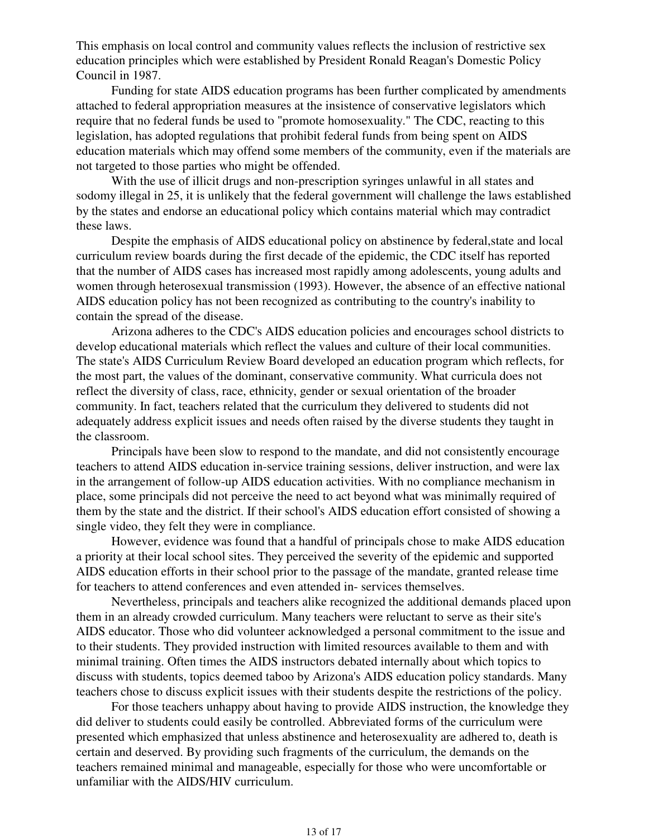This emphasis on local control and community values reflects the inclusion of restrictive sex education principles which were established by President Ronald Reagan's Domestic Policy Council in 1987.

 Funding for state AIDS education programs has been further complicated by amendments attached to federal appropriation measures at the insistence of conservative legislators which require that no federal funds be used to "promote homosexuality." The CDC, reacting to this legislation, has adopted regulations that prohibit federal funds from being spent on AIDS education materials which may offend some members of the community, even if the materials are not targeted to those parties who might be offended.

 With the use of illicit drugs and non-prescription syringes unlawful in all states and sodomy illegal in 25, it is unlikely that the federal government will challenge the laws established by the states and endorse an educational policy which contains material which may contradict these laws.

Despite the emphasis of AIDS educational policy on abstinence by federal, state and local curriculum review boards during the first decade of the epidemic, the CDC itself has reported that the number of AIDS cases has increased most rapidly among adolescents, young adults and women through heterosexual transmission (1993). However, the absence of an effective national AIDS education policy has not been recognized as contributing to the country's inability to contain the spread of the disease.

 Arizona adheres to the CDC's AIDS education policies and encourages school districts to develop educational materials which reflect the values and culture of their local communities. The state's AIDS Curriculum Review Board developed an education program which reflects, for the most part, the values of the dominant, conservative community. What curricula does not reflect the diversity of class, race, ethnicity, gender or sexual orientation of the broader community. In fact, teachers related that the curriculum they delivered to students did not adequately address explicit issues and needs often raised by the diverse students they taught in the classroom.

 Principals have been slow to respond to the mandate, and did not consistently encourage teachers to attend AIDS education in-service training sessions, deliver instruction, and were lax in the arrangement of follow-up AIDS education activities. With no compliance mechanism in place, some principals did not perceive the need to act beyond what was minimally required of them by the state and the district. If their school's AIDS education effort consisted of showing a single video, they felt they were in compliance.

 However, evidence was found that a handful of principals chose to make AIDS education a priority at their local school sites. They perceived the severity of the epidemic and supported AIDS education efforts in their school prior to the passage of the mandate, granted release time for teachers to attend conferences and even attended in- services themselves.

 Nevertheless, principals and teachers alike recognized the additional demands placed upon them in an already crowded curriculum. Many teachers were reluctant to serve as their site's AIDS educator. Those who did volunteer acknowledged a personal commitment to the issue and to their students. They provided instruction with limited resources available to them and with minimal training. Often times the AIDS instructors debated internally about which topics to discuss with students, topics deemed taboo by Arizona's AIDS education policy standards. Many teachers chose to discuss explicit issues with their students despite the restrictions of the policy.

 For those teachers unhappy about having to provide AIDS instruction, the knowledge they did deliver to students could easily be controlled. Abbreviated forms of the curriculum were presented which emphasized that unless abstinence and heterosexuality are adhered to, death is certain and deserved. By providing such fragments of the curriculum, the demands on the teachers remained minimal and manageable, especially for those who were uncomfortable or unfamiliar with the AIDS/HIV curriculum.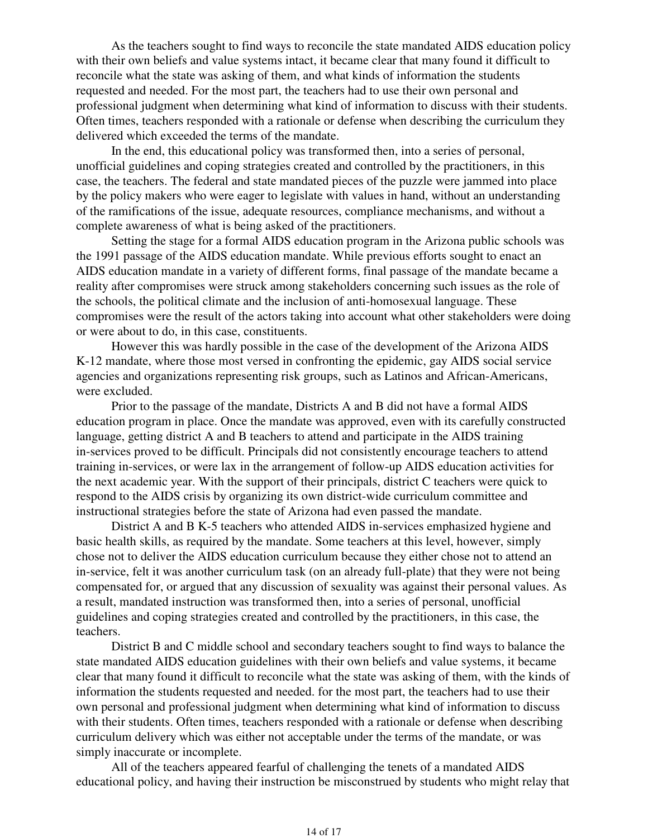As the teachers sought to find ways to reconcile the state mandated AIDS education policy with their own beliefs and value systems intact, it became clear that many found it difficult to reconcile what the state was asking of them, and what kinds of information the students requested and needed. For the most part, the teachers had to use their own personal and professional judgment when determining what kind of information to discuss with their students. Often times, teachers responded with a rationale or defense when describing the curriculum they delivered which exceeded the terms of the mandate.

 In the end, this educational policy was transformed then, into a series of personal, unofficial guidelines and coping strategies created and controlled by the practitioners, in this case, the teachers. The federal and state mandated pieces of the puzzle were jammed into place by the policy makers who were eager to legislate with values in hand, without an understanding of the ramifications of the issue, adequate resources, compliance mechanisms, and without a complete awareness of what is being asked of the practitioners.

 Setting the stage for a formal AIDS education program in the Arizona public schools was the 1991 passage of the AIDS education mandate. While previous efforts sought to enact an AIDS education mandate in a variety of different forms, final passage of the mandate became a reality after compromises were struck among stakeholders concerning such issues as the role of the schools, the political climate and the inclusion of anti-homosexual language. These compromises were the result of the actors taking into account what other stakeholders were doing or were about to do, in this case, constituents.

 However this was hardly possible in the case of the development of the Arizona AIDS K-12 mandate, where those most versed in confronting the epidemic, gay AIDS social service agencies and organizations representing risk groups, such as Latinos and African-Americans, were excluded.

 Prior to the passage of the mandate, Districts A and B did not have a formal AIDS education program in place. Once the mandate was approved, even with its carefully constructed language, getting district A and B teachers to attend and participate in the AIDS training in-services proved to be difficult. Principals did not consistently encourage teachers to attend training in-services, or were lax in the arrangement of follow-up AIDS education activities for the next academic year. With the support of their principals, district C teachers were quick to respond to the AIDS crisis by organizing its own district-wide curriculum committee and instructional strategies before the state of Arizona had even passed the mandate.

 District A and B K-5 teachers who attended AIDS in-services emphasized hygiene and basic health skills, as required by the mandate. Some teachers at this level, however, simply chose not to deliver the AIDS education curriculum because they either chose not to attend an in-service, felt it was another curriculum task (on an already full-plate) that they were not being compensated for, or argued that any discussion of sexuality was against their personal values. As a result, mandated instruction was transformed then, into a series of personal, unofficial guidelines and coping strategies created and controlled by the practitioners, in this case, the teachers.

 District B and C middle school and secondary teachers sought to find ways to balance the state mandated AIDS education guidelines with their own beliefs and value systems, it became clear that many found it difficult to reconcile what the state was asking of them, with the kinds of information the students requested and needed. for the most part, the teachers had to use their own personal and professional judgment when determining what kind of information to discuss with their students. Often times, teachers responded with a rationale or defense when describing curriculum delivery which was either not acceptable under the terms of the mandate, or was simply inaccurate or incomplete.

 All of the teachers appeared fearful of challenging the tenets of a mandated AIDS educational policy, and having their instruction be misconstrued by students who might relay that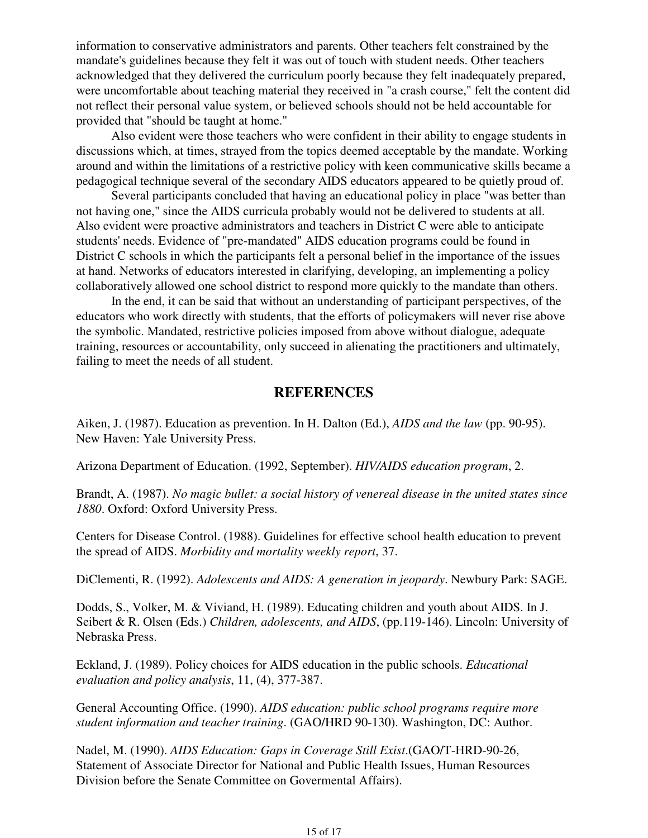information to conservative administrators and parents. Other teachers felt constrained by the mandate's guidelines because they felt it was out of touch with student needs. Other teachers acknowledged that they delivered the curriculum poorly because they felt inadequately prepared, were uncomfortable about teaching material they received in "a crash course," felt the content did not reflect their personal value system, or believed schools should not be held accountable for provided that "should be taught at home."

 Also evident were those teachers who were confident in their ability to engage students in discussions which, at times, strayed from the topics deemed acceptable by the mandate. Working around and within the limitations of a restrictive policy with keen communicative skills became a pedagogical technique several of the secondary AIDS educators appeared to be quietly proud of.

 Several participants concluded that having an educational policy in place "was better than not having one," since the AIDS curricula probably would not be delivered to students at all. Also evident were proactive administrators and teachers in District C were able to anticipate students' needs. Evidence of "pre-mandated" AIDS education programs could be found in District C schools in which the participants felt a personal belief in the importance of the issues at hand. Networks of educators interested in clarifying, developing, an implementing a policy collaboratively allowed one school district to respond more quickly to the mandate than others.

 In the end, it can be said that without an understanding of participant perspectives, of the educators who work directly with students, that the efforts of policymakers will never rise above the symbolic. Mandated, restrictive policies imposed from above without dialogue, adequate training, resources or accountability, only succeed in alienating the practitioners and ultimately, failing to meet the needs of all student.

### **REFERENCES**

Aiken, J. (1987). Education as prevention. In H. Dalton (Ed.), *AIDS and the law* (pp. 90-95). New Haven: Yale University Press.

Arizona Department of Education. (1992, September). *HIV/AIDS education program*, 2.

Brandt, A. (1987). *No magic bullet: a social history of venereal disease in the united states since 1880*. Oxford: Oxford University Press.

Centers for Disease Control. (1988). Guidelines for effective school health education to prevent the spread of AIDS. *Morbidity and mortality weekly report*, 37.

DiClementi, R. (1992). *Adolescents and AIDS: A generation in jeopardy*. Newbury Park: SAGE.

Dodds, S., Volker, M. & Viviand, H. (1989). Educating children and youth about AIDS. In J. Seibert & R. Olsen (Eds.) *Children, adolescents, and AIDS*, (pp.119-146). Lincoln: University of Nebraska Press.

Eckland, J. (1989). Policy choices for AIDS education in the public schools. *Educational evaluation and policy analysis*, 11, (4), 377-387.

General Accounting Office. (1990). *AIDS education: public school programs require more student information and teacher training*. (GAO/HRD 90-130). Washington, DC: Author.

Nadel, M. (1990). *AIDS Education: Gaps in Coverage Still Exist*.(GAO/T-HRD-90-26, Statement of Associate Director for National and Public Health Issues, Human Resources Division before the Senate Committee on Govermental Affairs).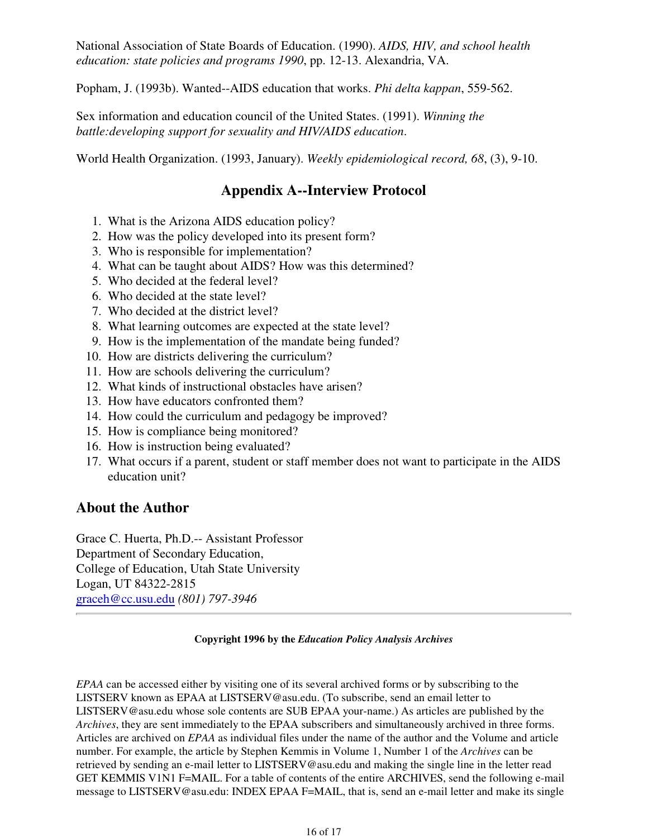National Association of State Boards of Education. (1990). *AIDS, HIV, and school health education: state policies and programs 1990*, pp. 12-13. Alexandria, VA.

Popham, J. (1993b). Wanted--AIDS education that works. *Phi delta kappan*, 559-562.

Sex information and education council of the United States. (1991). *Winning the battle:developing support for sexuality and HIV/AIDS education*.

World Health Organization. (1993, January). *Weekly epidemiological record, 68*, (3), 9-10.

### **Appendix A--Interview Protocol**

- 1. What is the Arizona AIDS education policy?
- 2. How was the policy developed into its present form?
- 3. Who is responsible for implementation?
- 4. What can be taught about AIDS? How was this determined?
- 5. Who decided at the federal level?
- 6. Who decided at the state level?
- 7. Who decided at the district level?
- 8. What learning outcomes are expected at the state level?
- 9. How is the implementation of the mandate being funded?
- 10. How are districts delivering the curriculum?
- 11. How are schools delivering the curriculum?
- 12. What kinds of instructional obstacles have arisen?
- 13. How have educators confronted them?
- 14. How could the curriculum and pedagogy be improved?
- 15. How is compliance being monitored?
- 16. How is instruction being evaluated?
- 17. What occurs if a parent, student or staff member does not want to participate in the AIDS education unit?

### **About the Author**

Grace C. Huerta, Ph.D.-- Assistant Professor Department of Secondary Education, College of Education, Utah State University Logan, UT 84322-2815 graceh@cc.usu.edu *(801) 797-3946*

#### **Copyright 1996 by the** *Education Policy Analysis Archives*

*EPAA* can be accessed either by visiting one of its several archived forms or by subscribing to the LISTSERV known as EPAA at LISTSERV@asu.edu. (To subscribe, send an email letter to LISTSERV@asu.edu whose sole contents are SUB EPAA your-name.) As articles are published by the *Archives*, they are sent immediately to the EPAA subscribers and simultaneously archived in three forms. Articles are archived on *EPAA* as individual files under the name of the author and the Volume and article number. For example, the article by Stephen Kemmis in Volume 1, Number 1 of the *Archives* can be retrieved by sending an e-mail letter to LISTSERV@asu.edu and making the single line in the letter read GET KEMMIS V1N1 F=MAIL. For a table of contents of the entire ARCHIVES, send the following e-mail message to LISTSERV@asu.edu: INDEX EPAA F=MAIL, that is, send an e-mail letter and make its single